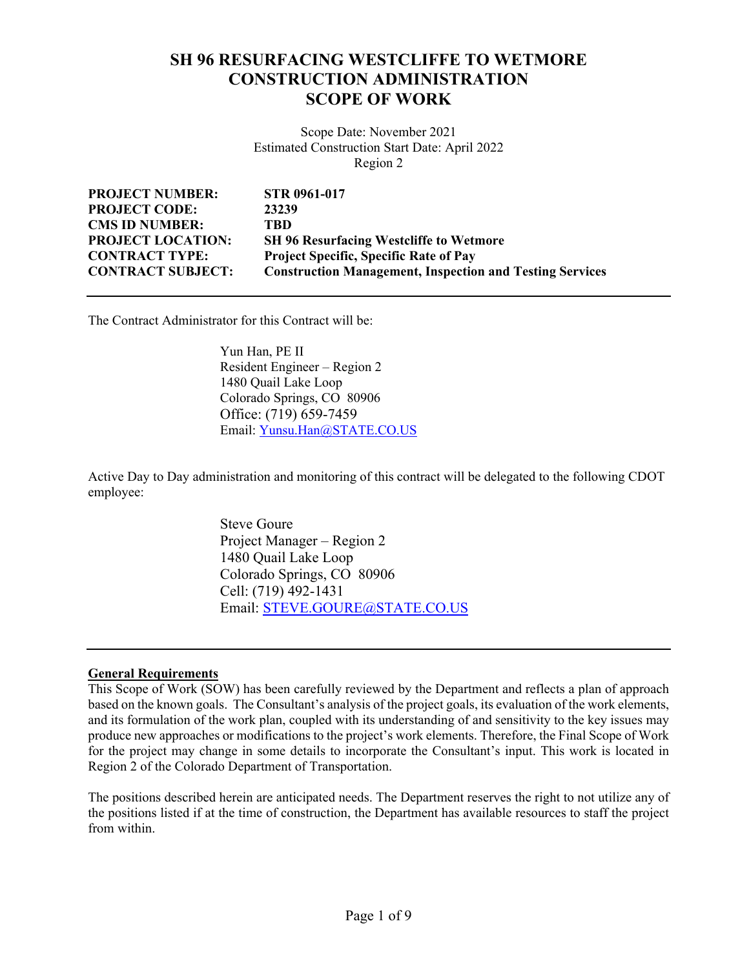# **SH 96 RESURFACING WESTCLIFFE TO WETMORE CONSTRUCTION ADMINISTRATION SCOPE OF WORK**

Scope Date: November 2021 Estimated Construction Start Date: April 2022 Region 2

| <b>PROJECT NUMBER:</b>   | <b>STR 0961-017</b>                                             |
|--------------------------|-----------------------------------------------------------------|
| <b>PROJECT CODE:</b>     | 23239                                                           |
| <b>CMS ID NUMBER:</b>    | TBD                                                             |
| <b>PROJECT LOCATION:</b> | <b>SH 96 Resurfacing Westcliffe to Wetmore</b>                  |
| <b>CONTRACT TYPE:</b>    | <b>Project Specific, Specific Rate of Pay</b>                   |
| <b>CONTRACT SUBJECT:</b> | <b>Construction Management, Inspection and Testing Services</b> |

The Contract Administrator for this Contract will be:

 Yun Han, PE II Resident Engineer – Region 2 1480 Quail Lake Loop Colorado Springs, CO 80906 Office: (719) 659-7459 Email: Yunsu.Han@STATE.CO.US

Active Day to Day administration and monitoring of this contract will be delegated to the following CDOT employee:

> Steve Goure Project Manager – Region 2 1480 Quail Lake Loop Colorado Springs, CO 80906 Cell: (719) 492-1431 Email: STEVE.GOURE@STATE.CO.US

#### **General Requirements**

This Scope of Work (SOW) has been carefully reviewed by the Department and reflects a plan of approach based on the known goals. The Consultant's analysis of the project goals, its evaluation of the work elements, and its formulation of the work plan, coupled with its understanding of and sensitivity to the key issues may produce new approaches or modifications to the project's work elements. Therefore, the Final Scope of Work for the project may change in some details to incorporate the Consultant's input. This work is located in Region 2 of the Colorado Department of Transportation.

The positions described herein are anticipated needs. The Department reserves the right to not utilize any of the positions listed if at the time of construction, the Department has available resources to staff the project from within.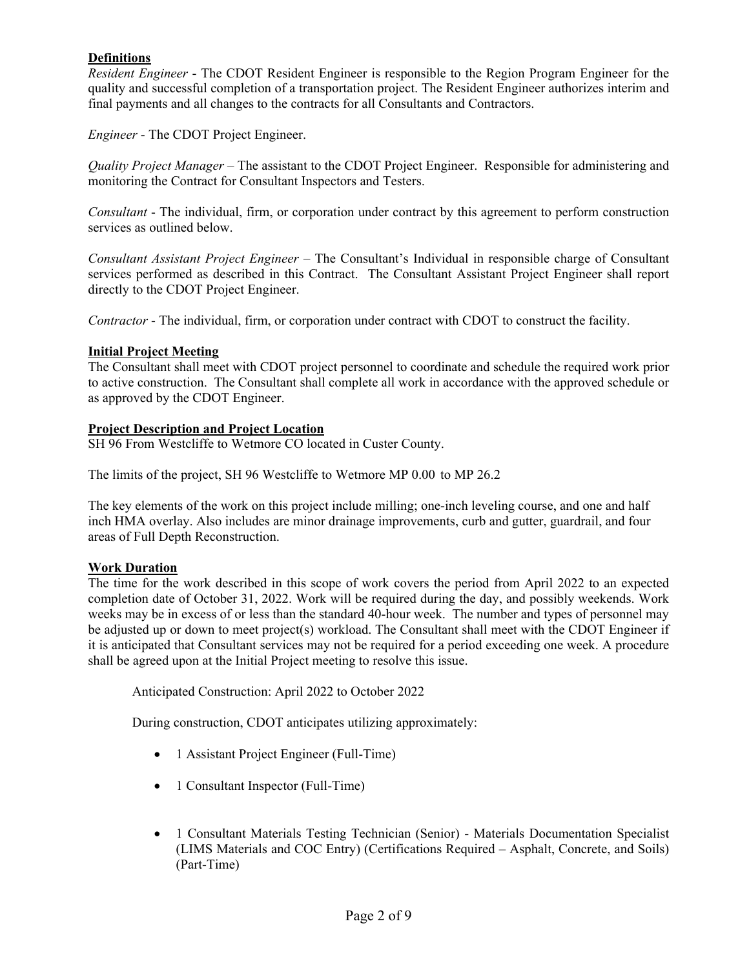# **Definitions**

*Resident Engineer* - The CDOT Resident Engineer is responsible to the Region Program Engineer for the quality and successful completion of a transportation project. The Resident Engineer authorizes interim and final payments and all changes to the contracts for all Consultants and Contractors.

*Engineer* - The CDOT Project Engineer.

*Quality Project Manager* – The assistant to the CDOT Project Engineer. Responsible for administering and monitoring the Contract for Consultant Inspectors and Testers.

*Consultant* - The individual, firm, or corporation under contract by this agreement to perform construction services as outlined below.

*Consultant Assistant Project Engineer* – The Consultant's Individual in responsible charge of Consultant services performed as described in this Contract. The Consultant Assistant Project Engineer shall report directly to the CDOT Project Engineer.

*Contractor* - The individual, firm, or corporation under contract with CDOT to construct the facility.

#### **Initial Project Meeting**

The Consultant shall meet with CDOT project personnel to coordinate and schedule the required work prior to active construction. The Consultant shall complete all work in accordance with the approved schedule or as approved by the CDOT Engineer.

#### **Project Description and Project Location**

SH 96 From Westcliffe to Wetmore CO located in Custer County.

The limits of the project, SH 96 Westcliffe to Wetmore MP 0.00 to MP 26.2

The key elements of the work on this project include milling; one-inch leveling course, and one and half inch HMA overlay. Also includes are minor drainage improvements, curb and gutter, guardrail, and four areas of Full Depth Reconstruction.

#### **Work Duration**

The time for the work described in this scope of work covers the period from April 2022 to an expected completion date of October 31, 2022. Work will be required during the day, and possibly weekends. Work weeks may be in excess of or less than the standard 40-hour week. The number and types of personnel may be adjusted up or down to meet project(s) workload. The Consultant shall meet with the CDOT Engineer if it is anticipated that Consultant services may not be required for a period exceeding one week. A procedure shall be agreed upon at the Initial Project meeting to resolve this issue.

Anticipated Construction: April 2022 to October 2022

During construction, CDOT anticipates utilizing approximately:

- 1 Assistant Project Engineer (Full-Time)
- 1 Consultant Inspector (Full-Time)
- 1 Consultant Materials Testing Technician (Senior) Materials Documentation Specialist (LIMS Materials and COC Entry) (Certifications Required – Asphalt, Concrete, and Soils) (Part-Time)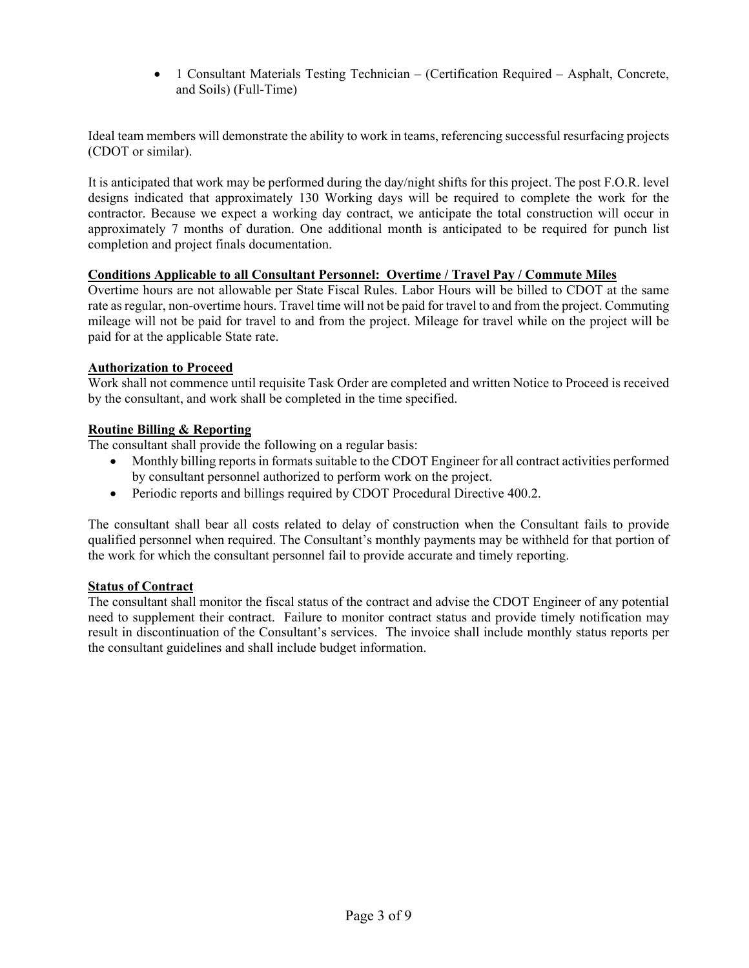1 Consultant Materials Testing Technician – (Certification Required – Asphalt, Concrete, and Soils) (Full-Time)

Ideal team members will demonstrate the ability to work in teams, referencing successful resurfacing projects (CDOT or similar).

It is anticipated that work may be performed during the day/night shifts for this project. The post F.O.R. level designs indicated that approximately 130 Working days will be required to complete the work for the contractor. Because we expect a working day contract, we anticipate the total construction will occur in approximately 7 months of duration. One additional month is anticipated to be required for punch list completion and project finals documentation.

## **Conditions Applicable to all Consultant Personnel: Overtime / Travel Pay / Commute Miles**

Overtime hours are not allowable per State Fiscal Rules. Labor Hours will be billed to CDOT at the same rate as regular, non-overtime hours. Travel time will not be paid for travel to and from the project. Commuting mileage will not be paid for travel to and from the project. Mileage for travel while on the project will be paid for at the applicable State rate.

#### **Authorization to Proceed**

Work shall not commence until requisite Task Order are completed and written Notice to Proceed is received by the consultant, and work shall be completed in the time specified.

## **Routine Billing & Reporting**

The consultant shall provide the following on a regular basis:

- Monthly billing reports in formats suitable to the CDOT Engineer for all contract activities performed by consultant personnel authorized to perform work on the project.
- Periodic reports and billings required by CDOT Procedural Directive 400.2.

The consultant shall bear all costs related to delay of construction when the Consultant fails to provide qualified personnel when required. The Consultant's monthly payments may be withheld for that portion of the work for which the consultant personnel fail to provide accurate and timely reporting.

#### **Status of Contract**

The consultant shall monitor the fiscal status of the contract and advise the CDOT Engineer of any potential need to supplement their contract. Failure to monitor contract status and provide timely notification may result in discontinuation of the Consultant's services. The invoice shall include monthly status reports per the consultant guidelines and shall include budget information.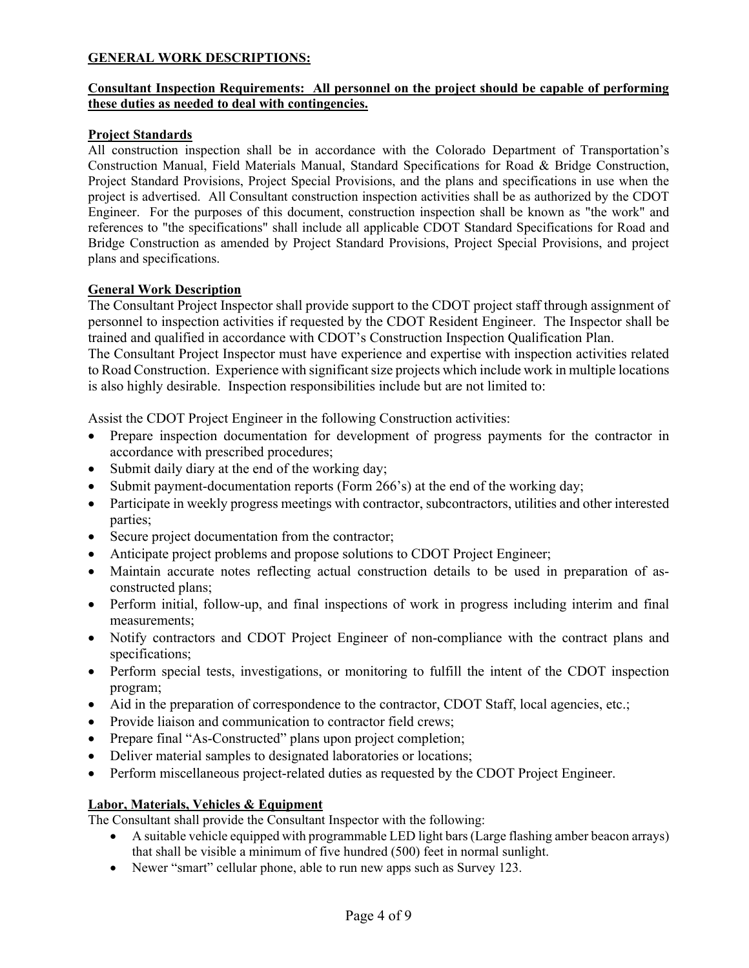# **GENERAL WORK DESCRIPTIONS:**

## **Consultant Inspection Requirements: All personnel on the project should be capable of performing these duties as needed to deal with contingencies.**

## **Project Standards**

All construction inspection shall be in accordance with the Colorado Department of Transportation's Construction Manual, Field Materials Manual, Standard Specifications for Road & Bridge Construction, Project Standard Provisions, Project Special Provisions, and the plans and specifications in use when the project is advertised. All Consultant construction inspection activities shall be as authorized by the CDOT Engineer. For the purposes of this document, construction inspection shall be known as "the work" and references to "the specifications" shall include all applicable CDOT Standard Specifications for Road and Bridge Construction as amended by Project Standard Provisions, Project Special Provisions, and project plans and specifications.

#### **General Work Description**

The Consultant Project Inspector shall provide support to the CDOT project staff through assignment of personnel to inspection activities if requested by the CDOT Resident Engineer. The Inspector shall be trained and qualified in accordance with CDOT's Construction Inspection Qualification Plan.

The Consultant Project Inspector must have experience and expertise with inspection activities related to Road Construction. Experience with significant size projects which include work in multiple locations is also highly desirable. Inspection responsibilities include but are not limited to:

Assist the CDOT Project Engineer in the following Construction activities:

- Prepare inspection documentation for development of progress payments for the contractor in accordance with prescribed procedures;
- Submit daily diary at the end of the working day;
- Submit payment-documentation reports (Form 266's) at the end of the working day;
- Participate in weekly progress meetings with contractor, subcontractors, utilities and other interested parties;
- Secure project documentation from the contractor;
- Anticipate project problems and propose solutions to CDOT Project Engineer;
- Maintain accurate notes reflecting actual construction details to be used in preparation of asconstructed plans;
- Perform initial, follow-up, and final inspections of work in progress including interim and final measurements;
- Notify contractors and CDOT Project Engineer of non-compliance with the contract plans and specifications;
- Perform special tests, investigations, or monitoring to fulfill the intent of the CDOT inspection program;
- Aid in the preparation of correspondence to the contractor, CDOT Staff, local agencies, etc.;
- Provide liaison and communication to contractor field crews;
- Prepare final "As-Constructed" plans upon project completion;
- Deliver material samples to designated laboratories or locations;
- Perform miscellaneous project-related duties as requested by the CDOT Project Engineer.

#### **Labor, Materials, Vehicles & Equipment**

The Consultant shall provide the Consultant Inspector with the following:

- A suitable vehicle equipped with programmable LED light bars (Large flashing amber beacon arrays) that shall be visible a minimum of five hundred (500) feet in normal sunlight.
- Newer "smart" cellular phone, able to run new apps such as Survey 123.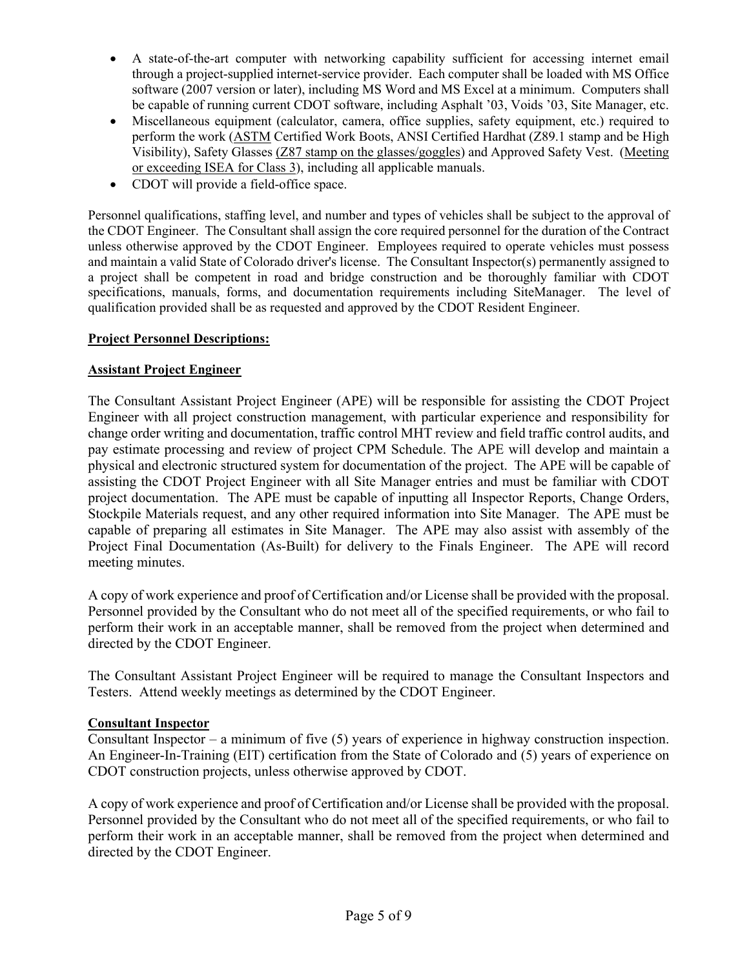- A state-of-the-art computer with networking capability sufficient for accessing internet email through a project-supplied internet-service provider. Each computer shall be loaded with MS Office software (2007 version or later), including MS Word and MS Excel at a minimum. Computers shall be capable of running current CDOT software, including Asphalt '03, Voids '03, Site Manager, etc.
- Miscellaneous equipment (calculator, camera, office supplies, safety equipment, etc.) required to perform the work (ASTM Certified Work Boots, ANSI Certified Hardhat (Z89.1 stamp and be High Visibility), Safety Glasses (Z87 stamp on the glasses/goggles) and Approved Safety Vest. (Meeting or exceeding ISEA for Class 3), including all applicable manuals.
- CDOT will provide a field-office space.

Personnel qualifications, staffing level, and number and types of vehicles shall be subject to the approval of the CDOT Engineer. The Consultant shall assign the core required personnel for the duration of the Contract unless otherwise approved by the CDOT Engineer. Employees required to operate vehicles must possess and maintain a valid State of Colorado driver's license. The Consultant Inspector(s) permanently assigned to a project shall be competent in road and bridge construction and be thoroughly familiar with CDOT specifications, manuals, forms, and documentation requirements including SiteManager. The level of qualification provided shall be as requested and approved by the CDOT Resident Engineer.

# **Project Personnel Descriptions:**

## **Assistant Project Engineer**

The Consultant Assistant Project Engineer (APE) will be responsible for assisting the CDOT Project Engineer with all project construction management, with particular experience and responsibility for change order writing and documentation, traffic control MHT review and field traffic control audits, and pay estimate processing and review of project CPM Schedule. The APE will develop and maintain a physical and electronic structured system for documentation of the project. The APE will be capable of assisting the CDOT Project Engineer with all Site Manager entries and must be familiar with CDOT project documentation. The APE must be capable of inputting all Inspector Reports, Change Orders, Stockpile Materials request, and any other required information into Site Manager. The APE must be capable of preparing all estimates in Site Manager. The APE may also assist with assembly of the Project Final Documentation (As-Built) for delivery to the Finals Engineer. The APE will record meeting minutes.

A copy of work experience and proof of Certification and/or License shall be provided with the proposal. Personnel provided by the Consultant who do not meet all of the specified requirements, or who fail to perform their work in an acceptable manner, shall be removed from the project when determined and directed by the CDOT Engineer.

The Consultant Assistant Project Engineer will be required to manage the Consultant Inspectors and Testers. Attend weekly meetings as determined by the CDOT Engineer.

#### **Consultant Inspector**

Consultant Inspector – a minimum of five (5) years of experience in highway construction inspection. An Engineer-In-Training (EIT) certification from the State of Colorado and (5) years of experience on CDOT construction projects, unless otherwise approved by CDOT.

A copy of work experience and proof of Certification and/or License shall be provided with the proposal. Personnel provided by the Consultant who do not meet all of the specified requirements, or who fail to perform their work in an acceptable manner, shall be removed from the project when determined and directed by the CDOT Engineer.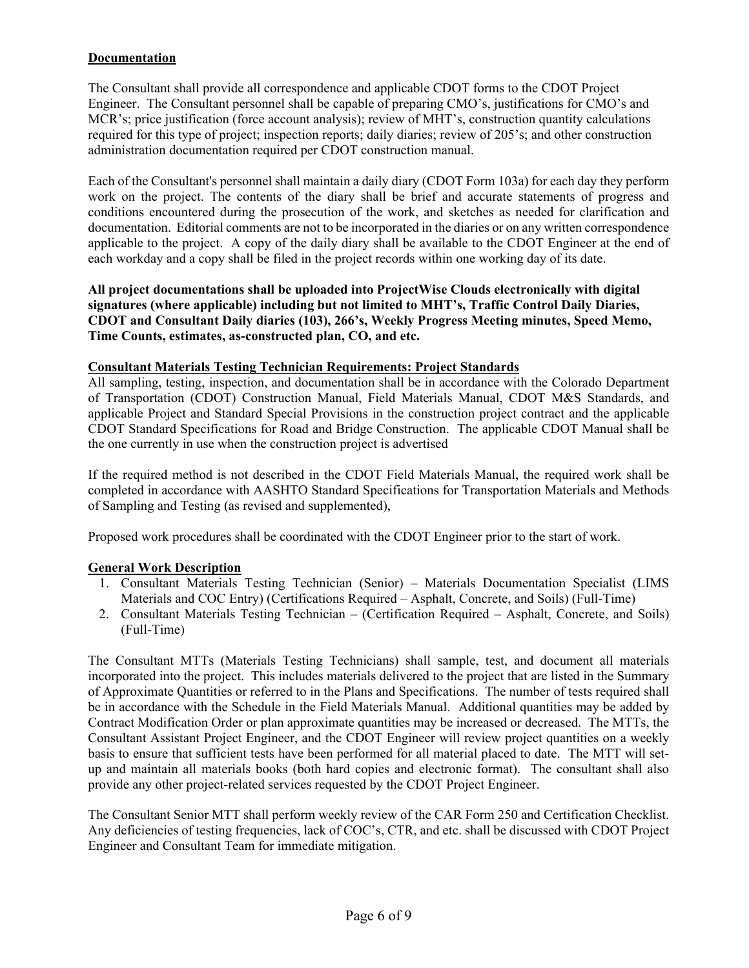# **Documentation**

The Consultant shall provide all correspondence and applicable CDOT forms to the CDOT Project Engineer. The Consultant personnel shall be capable of preparing CMO's, justifications for CMO's and MCR's; price justification (force account analysis); review of MHT's, construction quantity calculations required for this type of project; inspection reports; daily diaries; review of 205's; and other construction administration documentation required per CDOT construction manual.

Each of the Consultant's personnel shall maintain a daily diary (CDOT Form 103a) for each day they perform work on the project. The contents of the diary shall be brief and accurate statements of progress and conditions encountered during the prosecution of the work, and sketches as needed for clarification and documentation. Editorial comments are not to be incorporated in the diaries or on any written correspondence applicable to the project. A copy of the daily diary shall be available to the CDOT Engineer at the end of each workday and a copy shall be filed in the project records within one working day of its date.

**All project documentations shall be uploaded into ProjectWise Clouds electronically with digital signatures (where applicable) including but not limited to MHT's, Traffic Control Daily Diaries, CDOT and Consultant Daily diaries (103), 266's, Weekly Progress Meeting minutes, Speed Memo, Time Counts, estimates, as-constructed plan, CO, and etc.** 

## **Consultant Materials Testing Technician Requirements: Project Standards**

All sampling, testing, inspection, and documentation shall be in accordance with the Colorado Department of Transportation (CDOT) Construction Manual, Field Materials Manual, CDOT M&S Standards, and applicable Project and Standard Special Provisions in the construction project contract and the applicable CDOT Standard Specifications for Road and Bridge Construction. The applicable CDOT Manual shall be the one currently in use when the construction project is advertised

If the required method is not described in the CDOT Field Materials Manual, the required work shall be completed in accordance with AASHTO Standard Specifications for Transportation Materials and Methods of Sampling and Testing (as revised and supplemented),

Proposed work procedures shall be coordinated with the CDOT Engineer prior to the start of work.

# **General Work Description**

- 1. Consultant Materials Testing Technician (Senior) Materials Documentation Specialist (LIMS Materials and COC Entry) (Certifications Required – Asphalt, Concrete, and Soils) (Full-Time)
- 2. Consultant Materials Testing Technician (Certification Required Asphalt, Concrete, and Soils) (Full-Time)

The Consultant MTTs (Materials Testing Technicians) shall sample, test, and document all materials incorporated into the project. This includes materials delivered to the project that are listed in the Summary of Approximate Quantities or referred to in the Plans and Specifications. The number of tests required shall be in accordance with the Schedule in the Field Materials Manual. Additional quantities may be added by Contract Modification Order or plan approximate quantities may be increased or decreased. The MTTs, the Consultant Assistant Project Engineer, and the CDOT Engineer will review project quantities on a weekly basis to ensure that sufficient tests have been performed for all material placed to date. The MTT will setup and maintain all materials books (both hard copies and electronic format). The consultant shall also provide any other project-related services requested by the CDOT Project Engineer.

The Consultant Senior MTT shall perform weekly review of the CAR Form 250 and Certification Checklist. Any deficiencies of testing frequencies, lack of COC's, CTR, and etc. shall be discussed with CDOT Project Engineer and Consultant Team for immediate mitigation.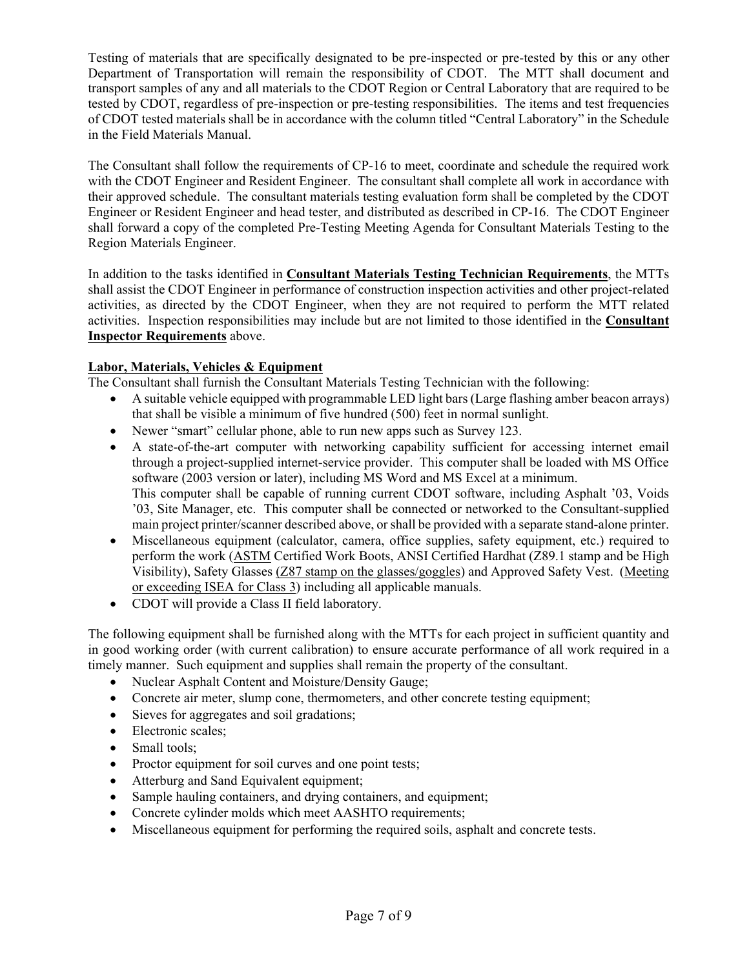Testing of materials that are specifically designated to be pre-inspected or pre-tested by this or any other Department of Transportation will remain the responsibility of CDOT. The MTT shall document and transport samples of any and all materials to the CDOT Region or Central Laboratory that are required to be tested by CDOT, regardless of pre-inspection or pre-testing responsibilities. The items and test frequencies of CDOT tested materials shall be in accordance with the column titled "Central Laboratory" in the Schedule in the Field Materials Manual.

The Consultant shall follow the requirements of CP-16 to meet, coordinate and schedule the required work with the CDOT Engineer and Resident Engineer. The consultant shall complete all work in accordance with their approved schedule. The consultant materials testing evaluation form shall be completed by the CDOT Engineer or Resident Engineer and head tester, and distributed as described in CP-16. The CDOT Engineer shall forward a copy of the completed Pre-Testing Meeting Agenda for Consultant Materials Testing to the Region Materials Engineer.

In addition to the tasks identified in **Consultant Materials Testing Technician Requirements**, the MTTs shall assist the CDOT Engineer in performance of construction inspection activities and other project-related activities, as directed by the CDOT Engineer, when they are not required to perform the MTT related activities. Inspection responsibilities may include but are not limited to those identified in the **Consultant Inspector Requirements** above.

# **Labor, Materials, Vehicles & Equipment**

The Consultant shall furnish the Consultant Materials Testing Technician with the following:

- A suitable vehicle equipped with programmable LED light bars (Large flashing amber beacon arrays) that shall be visible a minimum of five hundred (500) feet in normal sunlight.
- Newer "smart" cellular phone, able to run new apps such as Survey 123.
- A state-of-the-art computer with networking capability sufficient for accessing internet email through a project-supplied internet-service provider. This computer shall be loaded with MS Office software (2003 version or later), including MS Word and MS Excel at a minimum. This computer shall be capable of running current CDOT software, including Asphalt '03, Voids '03, Site Manager, etc. This computer shall be connected or networked to the Consultant-supplied main project printer/scanner described above, or shall be provided with a separate stand-alone printer.
- Miscellaneous equipment (calculator, camera, office supplies, safety equipment, etc.) required to perform the work (ASTM Certified Work Boots, ANSI Certified Hardhat (Z89.1 stamp and be High Visibility), Safety Glasses (Z87 stamp on the glasses/goggles) and Approved Safety Vest. (Meeting or exceeding ISEA for Class 3) including all applicable manuals.
- CDOT will provide a Class II field laboratory.

The following equipment shall be furnished along with the MTTs for each project in sufficient quantity and in good working order (with current calibration) to ensure accurate performance of all work required in a timely manner. Such equipment and supplies shall remain the property of the consultant.

- Nuclear Asphalt Content and Moisture/Density Gauge;
- Concrete air meter, slump cone, thermometers, and other concrete testing equipment;
- Sieves for aggregates and soil gradations;
- Electronic scales;
- Small tools;
- Proctor equipment for soil curves and one point tests;
- Atterburg and Sand Equivalent equipment;
- Sample hauling containers, and drying containers, and equipment;
- Concrete cylinder molds which meet AASHTO requirements;
- Miscellaneous equipment for performing the required soils, asphalt and concrete tests.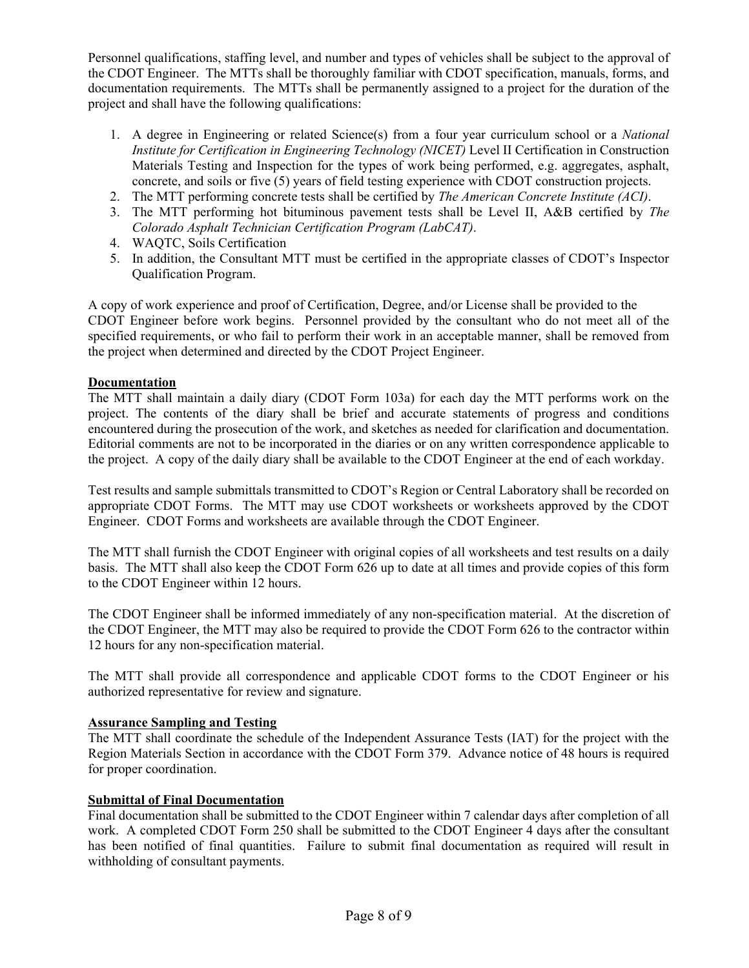Personnel qualifications, staffing level, and number and types of vehicles shall be subject to the approval of the CDOT Engineer. The MTTs shall be thoroughly familiar with CDOT specification, manuals, forms, and documentation requirements. The MTTs shall be permanently assigned to a project for the duration of the project and shall have the following qualifications:

- 1. A degree in Engineering or related Science(s) from a four year curriculum school or a *National Institute for Certification in Engineering Technology (NICET)* Level II Certification in Construction Materials Testing and Inspection for the types of work being performed, e.g. aggregates, asphalt, concrete, and soils or five (5) years of field testing experience with CDOT construction projects.
- 2. The MTT performing concrete tests shall be certified by *The American Concrete Institute (ACI)*.
- 3. The MTT performing hot bituminous pavement tests shall be Level II, A&B certified by *The Colorado Asphalt Technician Certification Program (LabCAT)*.
- 4. WAQTC, Soils Certification
- 5. In addition, the Consultant MTT must be certified in the appropriate classes of CDOT's Inspector Qualification Program.

A copy of work experience and proof of Certification, Degree, and/or License shall be provided to the CDOT Engineer before work begins. Personnel provided by the consultant who do not meet all of the specified requirements, or who fail to perform their work in an acceptable manner, shall be removed from the project when determined and directed by the CDOT Project Engineer.

# **Documentation**

The MTT shall maintain a daily diary (CDOT Form 103a) for each day the MTT performs work on the project. The contents of the diary shall be brief and accurate statements of progress and conditions encountered during the prosecution of the work, and sketches as needed for clarification and documentation. Editorial comments are not to be incorporated in the diaries or on any written correspondence applicable to the project. A copy of the daily diary shall be available to the CDOT Engineer at the end of each workday.

Test results and sample submittals transmitted to CDOT's Region or Central Laboratory shall be recorded on appropriate CDOT Forms. The MTT may use CDOT worksheets or worksheets approved by the CDOT Engineer. CDOT Forms and worksheets are available through the CDOT Engineer.

The MTT shall furnish the CDOT Engineer with original copies of all worksheets and test results on a daily basis. The MTT shall also keep the CDOT Form 626 up to date at all times and provide copies of this form to the CDOT Engineer within 12 hours.

The CDOT Engineer shall be informed immediately of any non-specification material. At the discretion of the CDOT Engineer, the MTT may also be required to provide the CDOT Form 626 to the contractor within 12 hours for any non-specification material.

The MTT shall provide all correspondence and applicable CDOT forms to the CDOT Engineer or his authorized representative for review and signature.

#### **Assurance Sampling and Testing**

The MTT shall coordinate the schedule of the Independent Assurance Tests (IAT) for the project with the Region Materials Section in accordance with the CDOT Form 379. Advance notice of 48 hours is required for proper coordination.

#### **Submittal of Final Documentation**

Final documentation shall be submitted to the CDOT Engineer within 7 calendar days after completion of all work. A completed CDOT Form 250 shall be submitted to the CDOT Engineer 4 days after the consultant has been notified of final quantities. Failure to submit final documentation as required will result in withholding of consultant payments.